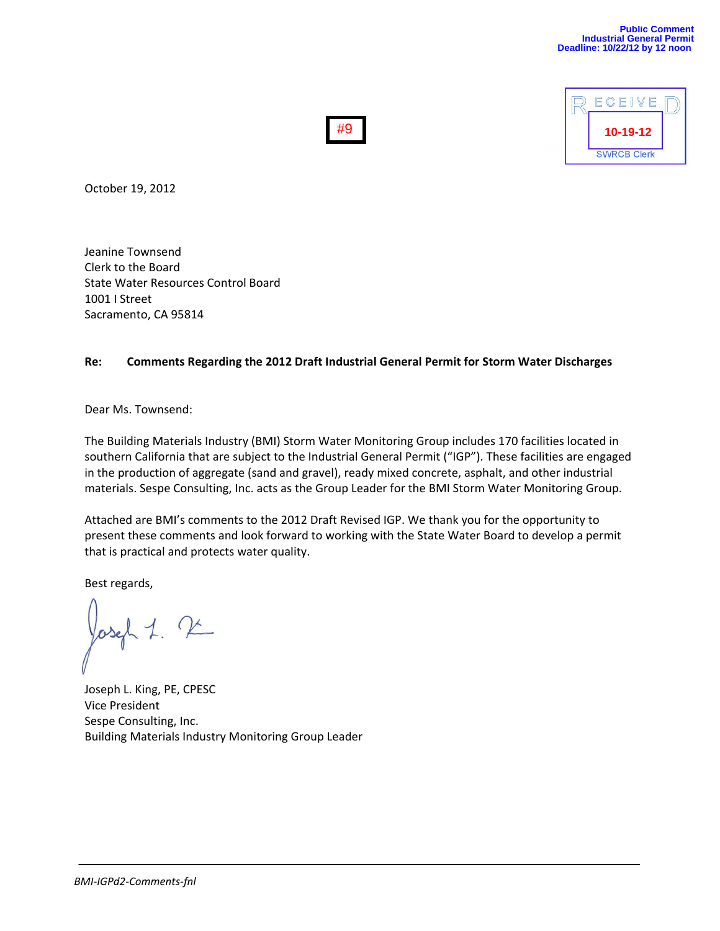

October 19, 2012

Jeanine Townsend Clerk to the Board State Water Resources Control Board 1001 I Street Sacramento, CA 95814

#### **Re: Comments Regarding the 2012 Draft Industrial General Permit for Storm Water Discharges**

#9

Dear Ms. Townsend:

The Building Materials Industry (BMI) Storm Water Monitoring Group includes 170 facilities located in southern California that are subject to the Industrial General Permit ("IGP"). These facilities are engaged in the production of aggregate (sand and gravel), ready mixed concrete, asphalt, and other industrial materials. Sespe Consulting, Inc. acts as the Group Leader for the BMI Storm Water Monitoring Group.

Attached are BMI's comments to the 2012 Draft Revised IGP. We thank you for the opportunity to present these comments and look forward to working with the State Water Board to develop a permit that is practical and protects water quality.

Best regards,

Joseph L. King, PE, CPESC Vice President Sespe Consulting, Inc. Building Materials Industry Monitoring Group Leader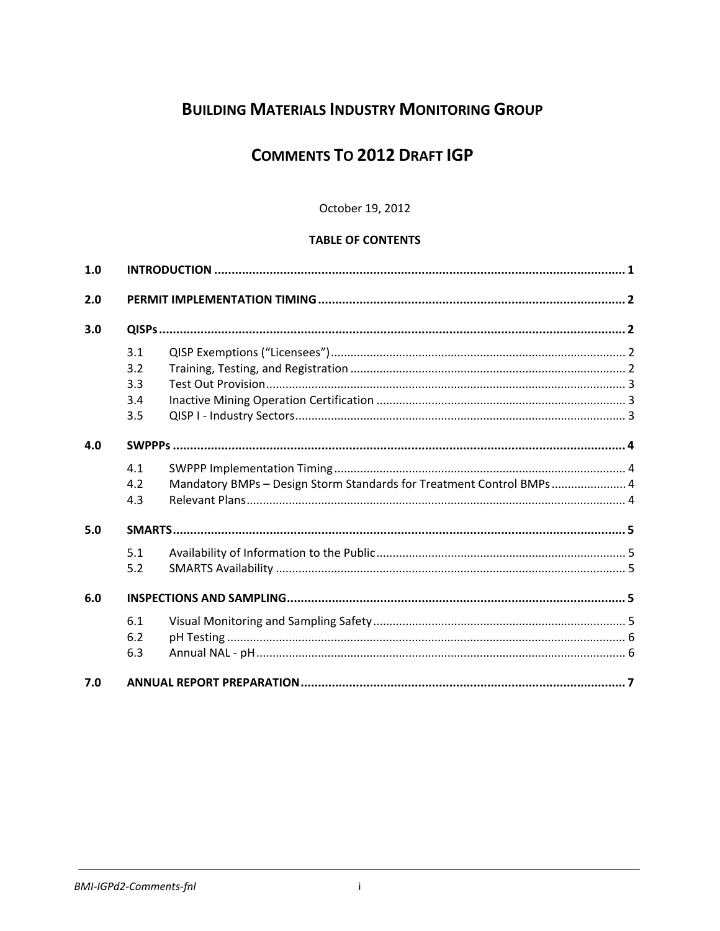# **BUILDING MATERIALS INDUSTRY MONITORING GROUP**

# **COMMENTS TO 2012 DRAFT IGP**

# October 19, 2012

# **TABLE OF CONTENTS**

| 1.0 |     |                                                                      |  |
|-----|-----|----------------------------------------------------------------------|--|
| 2.0 |     |                                                                      |  |
| 3.0 |     |                                                                      |  |
|     | 3.1 |                                                                      |  |
|     | 3.2 |                                                                      |  |
|     | 3.3 |                                                                      |  |
|     | 3.4 |                                                                      |  |
|     | 3.5 |                                                                      |  |
| 4.0 |     |                                                                      |  |
|     | 4.1 |                                                                      |  |
|     | 4.2 | Mandatory BMPs - Design Storm Standards for Treatment Control BMPs 4 |  |
|     | 4.3 |                                                                      |  |
| 5.0 |     |                                                                      |  |
|     | 5.1 |                                                                      |  |
|     | 5.2 |                                                                      |  |
| 6.0 |     |                                                                      |  |
|     | 6.1 |                                                                      |  |
|     | 6.2 |                                                                      |  |
|     | 6.3 |                                                                      |  |
| 7.0 |     |                                                                      |  |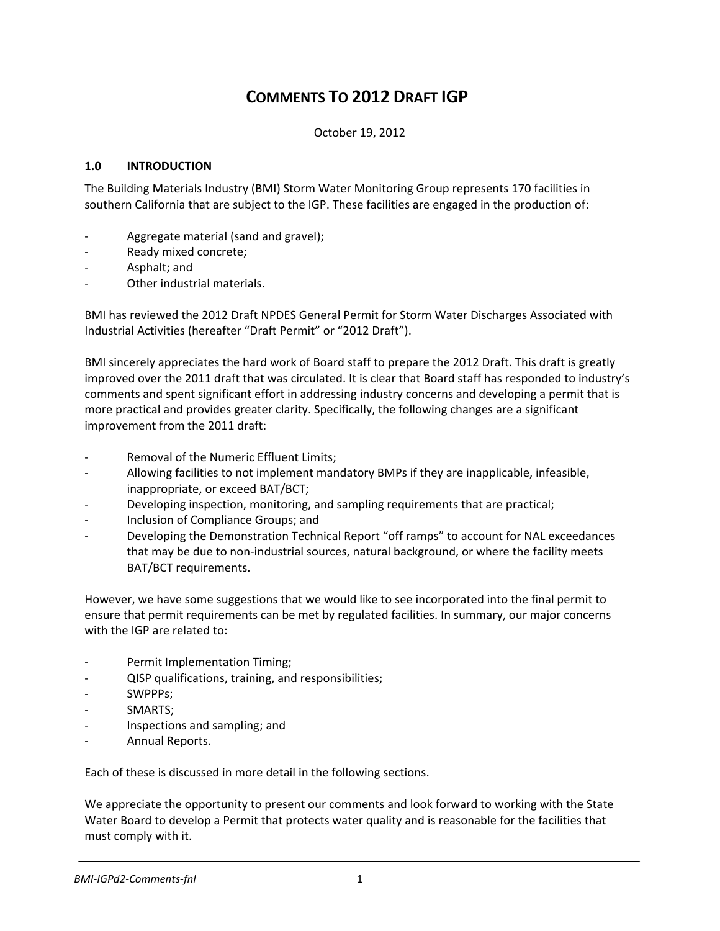# **COMMENTS TO 2012 DRAFT IGP**

October 19, 2012

# **1.0 INTRODUCTION**

The Building Materials Industry (BMI) Storm Water Monitoring Group represents 170 facilities in southern California that are subject to the IGP. These facilities are engaged in the production of:

- ‐ Aggregate material (sand and gravel);
- ‐ Ready mixed concrete;
- ‐ Asphalt; and
- ‐ Other industrial materials.

BMI has reviewed the 2012 Draft NPDES General Permit for Storm Water Discharges Associated with Industrial Activities (hereafter "Draft Permit" or "2012 Draft").

BMI sincerely appreciates the hard work of Board staff to prepare the 2012 Draft. This draft is greatly improved over the 2011 draft that was circulated. It is clear that Board staff has responded to industry's comments and spent significant effort in addressing industry concerns and developing a permit that is more practical and provides greater clarity. Specifically, the following changes are a significant improvement from the 2011 draft:

- ‐ Removal of the Numeric Effluent Limits;
- ‐ Allowing facilities to not implement mandatory BMPs if they are inapplicable, infeasible, inappropriate, or exceed BAT/BCT;
- ‐ Developing inspection, monitoring, and sampling requirements that are practical;
- ‐ Inclusion of Compliance Groups; and
- ‐ Developing the Demonstration Technical Report "off ramps" to account for NAL exceedances that may be due to non‐industrial sources, natural background, or where the facility meets BAT/BCT requirements.

However, we have some suggestions that we would like to see incorporated into the final permit to ensure that permit requirements can be met by regulated facilities. In summary, our major concerns with the IGP are related to:

- ‐ Permit Implementation Timing;
- ‐ QISP qualifications, training, and responsibilities;
- ‐ SWPPPs;
- ‐ SMARTS;
- ‐ Inspections and sampling; and
- ‐ Annual Reports.

Each of these is discussed in more detail in the following sections.

We appreciate the opportunity to present our comments and look forward to working with the State Water Board to develop a Permit that protects water quality and is reasonable for the facilities that must comply with it.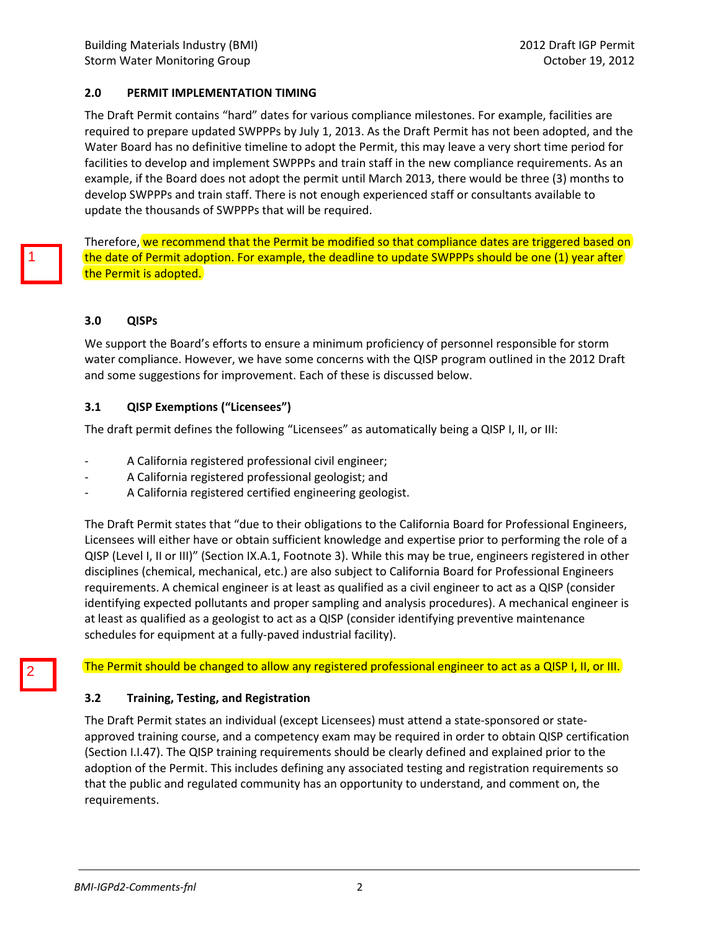## **2.0 PERMIT IMPLEMENTATION TIMING**

The Draft Permit contains "hard" dates for various compliance milestones. For example, facilities are required to prepare updated SWPPPs by July 1, 2013. As the Draft Permit has not been adopted, and the Water Board has no definitive timeline to adopt the Permit, this may leave a very short time period for facilities to develop and implement SWPPPs and train staff in the new compliance requirements. As an example, if the Board does not adopt the permit until March 2013, there would be three (3) months to develop SWPPPs and train staff. There is not enough experienced staff or consultants available to update the thousands of SWPPPs that will be required.

Therefore, we recommend that the Permit be modified so that compliance dates are triggered based on the date of Permit adoption. For example, the deadline to update SWPPPs should be one (1) year after the Permit is adopted.

#### **3.0 QISPs**

We support the Board's efforts to ensure a minimum proficiency of personnel responsible for storm water compliance. However, we have some concerns with the QISP program outlined in the 2012 Draft and some suggestions for improvement. Each of these is discussed below.

#### **3.1 QISP Exemptions ("Licensees")**

The draft permit defines the following "Licensees" as automatically being a QISP I, II, or III:

- ‐ A California registered professional civil engineer;
- ‐ A California registered professional geologist; and
- ‐ A California registered certified engineering geologist.

The Draft Permit states that "due to their obligations to the California Board for Professional Engineers, Licensees will either have or obtain sufficient knowledge and expertise prior to performing the role of a QISP (Level I, II or III)" (Section IX.A.1, Footnote 3). While this may be true, engineers registered in other disciplines (chemical, mechanical, etc.) are also subject to California Board for Professional Engineers requirements. A chemical engineer is at least as qualified as a civil engineer to act as a QISP (consider identifying expected pollutants and proper sampling and analysis procedures). A mechanical engineer is at least as qualified as a geologist to act as a QISP (consider identifying preventive maintenance schedules for equipment at a fully‐paved industrial facility).

The Permit should be changed to allow any registered professional engineer to act as a QISP I, II, or III.

## **3.2 Training, Testing, and Registration**

The Draft Permit states an individual (except Licensees) must attend a state‐sponsored or state‐ approved training course, and a competency exam may be required in order to obtain QISP certification (Section I.I.47). The QISP training requirements should be clearly defined and explained prior to the adoption of the Permit. This includes defining any associated testing and registration requirements so that the public and regulated community has an opportunity to understand, and comment on, the requirements.

2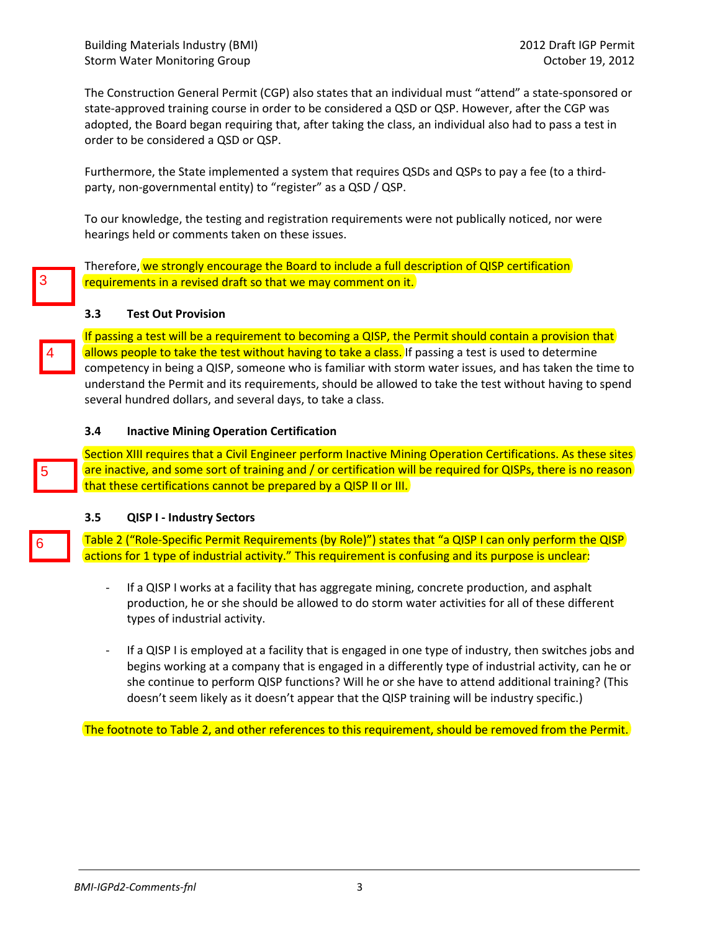The Construction General Permit (CGP) also states that an individual must "attend" a state‐sponsored or state-approved training course in order to be considered a QSD or QSP. However, after the CGP was adopted, the Board began requiring that, after taking the class, an individual also had to pass a test in order to be considered a QSD or QSP.

Furthermore, the State implemented a system that requires QSDs and QSPs to pay a fee (to a third‐ party, non-governmental entity) to "register" as a QSD / QSP.

To our knowledge, the testing and registration requirements were not publically noticed, nor were hearings held or comments taken on these issues.

Therefore, we strongly encourage the Board to include a full description of QISP certification requirements in a revised draft so that we may comment on it.

#### **3.3 Test Out Provision**

If passing a test will be a requirement to becoming a QISP, the Permit should contain a provision that allows people to take the test without having to take a class. If passing a test is used to determine competency in being a QISP, someone who is familiar with storm water issues, and has taken the time to understand the Permit and its requirements, should be allowed to take the test without having to spend several hundred dollars, and several days, to take a class.

#### **3.4 Inactive Mining Operation Certification**

Section XIII requires that a Civil Engineer perform Inactive Mining Operation Certifications. As these sites are inactive, and some sort of training and / or certification will be required for QISPs, there is no reason that these certifications cannot be prepared by a QISP II or III.

#### **3.5 QISP I ‐ Industry Sectors**

Table 2 ("Role‐Specific Permit Requirements (by Role)") states that "a QISP I can only perform the QISP actions for 1 type of industrial activity." This requirement is confusing and its purpose is unclear:

- If a QISP I works at a facility that has aggregate mining, concrete production, and asphalt production, he or she should be allowed to do storm water activities for all of these different types of industrial activity.
- ‐ If a QISP I is employed at a facility that is engaged in one type of industry, then switches jobs and begins working at a company that is engaged in a differently type of industrial activity, can he or she continue to perform QISP functions? Will he or she have to attend additional training? (This doesn't seem likely as it doesn't appear that the QISP training will be industry specific.)

The footnote to Table 2, and other references to this requirement, should be removed from the Permit.

3

4

5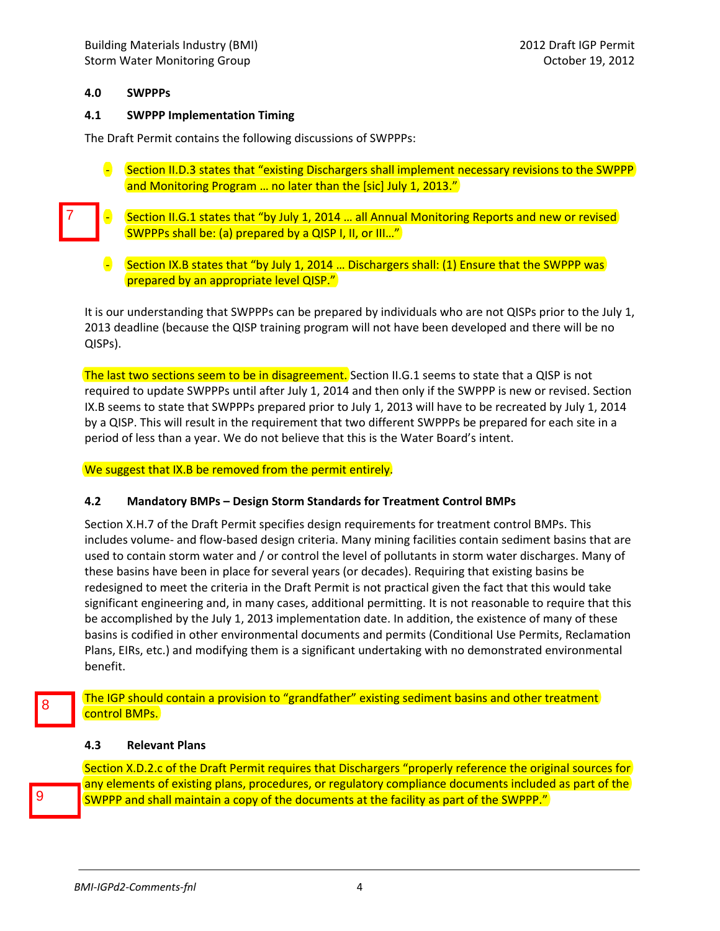## **4.0 SWPPPs**

7

#### **4.1 SWPPP Implementation Timing**

The Draft Permit contains the following discussions of SWPPPs:

- Section II.D.3 states that "existing Dischargers shall implement necessary revisions to the SWPPP and Monitoring Program ... no later than the [sic] July 1, 2013."
- Section II.G.1 states that "by July 1, 2014 ... all Annual Monitoring Reports and new or revised SWPPPs shall be: (a) prepared by a QISP I, II, or III…"
	- Section IX.B states that "by July 1, 2014 ... Dischargers shall: (1) Ensure that the SWPPP was prepared by an appropriate level QISP."

It is our understanding that SWPPPs can be prepared by individuals who are not QISPs prior to the July 1, 2013 deadline (because the QISP training program will not have been developed and there will be no QISPs).

The last two sections seem to be in disagreement. Section II.G.1 seems to state that a QISP is not required to update SWPPPs until after July 1, 2014 and then only if the SWPPP is new or revised. Section IX.B seems to state that SWPPPs prepared prior to July 1, 2013 will have to be recreated by July 1, 2014 by a QISP. This will result in the requirement that two different SWPPPs be prepared for each site in a period of less than a year. We do not believe that this is the Water Board's intent.

We suggest that IX.B be removed from the permit entirely.

#### **4.2 Mandatory BMPs – Design Storm Standards for Treatment Control BMPs**

Section X.H.7 of the Draft Permit specifies design requirements for treatment control BMPs. This includes volume‐ and flow‐based design criteria. Many mining facilities contain sediment basins that are used to contain storm water and / or control the level of pollutants in storm water discharges. Many of these basins have been in place for several years (or decades). Requiring that existing basins be redesigned to meet the criteria in the Draft Permit is not practical given the fact that this would take significant engineering and, in many cases, additional permitting. It is not reasonable to require that this be accomplished by the July 1, 2013 implementation date. In addition, the existence of many of these basins is codified in other environmental documents and permits (Conditional Use Permits, Reclamation Plans, EIRs, etc.) and modifying them is a significant undertaking with no demonstrated environmental benefit.

The IGP should contain a provision to "grandfather" existing sediment basins and other treatment control BMPs.

#### **4.3 Relevant Plans**

Section X.D.2.c of the Draft Permit requires that Dischargers "properly reference the original sources for any elements of existing plans, procedures, or regulatory compliance documents included as part of the SWPPP and shall maintain a copy of the documents at the facility as part of the SWPPP."

9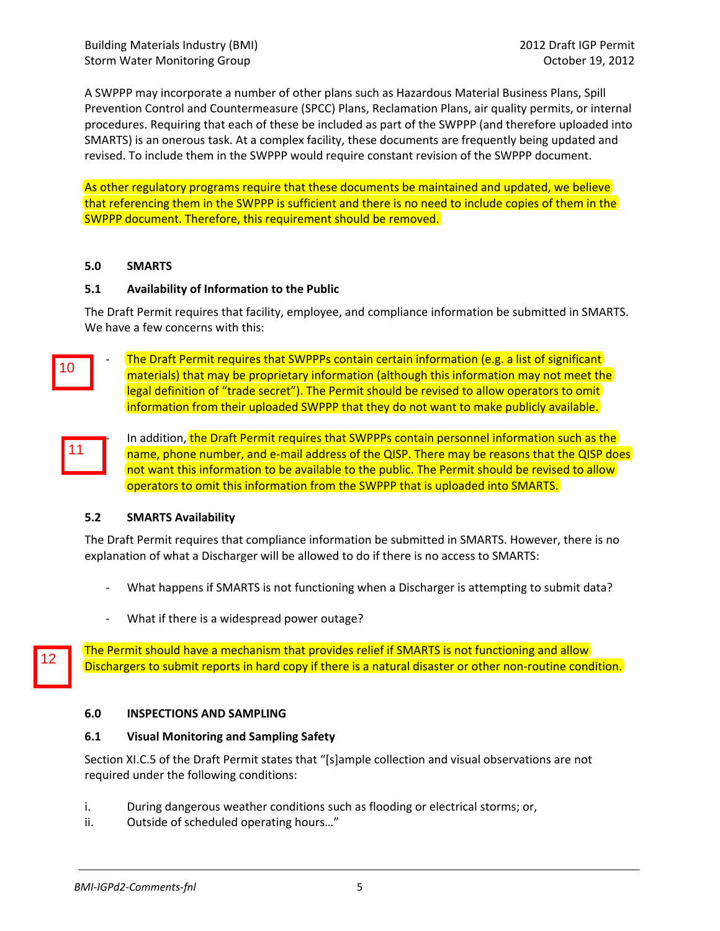A SWPPP may incorporate a number of other plans such as Hazardous Material Business Plans, Spill Prevention Control and Countermeasure (SPCC) Plans, Reclamation Plans, air quality permits, or internal procedures. Requiring that each of these be included as part of the SWPPP (and therefore uploaded into SMARTS) is an onerous task. At a complex facility, these documents are frequently being updated and revised. To include them in the SWPPP would require constant revision of the SWPPP document.

As other regulatory programs require that these documents be maintained and updated, we believe that referencing them in the SWPPP is sufficient and there is no need to include copies of them in the SWPPP document. Therefore, this requirement should be removed.

#### **5.0 SMARTS**

#### **5.1 Availability of Information to the Public**

The Draft Permit requires that facility, employee, and compliance information be submitted in SMARTS. We have a few concerns with this:

The Draft Permit requires that SWPPPs contain certain information (e.g. a list of significant) materials) that may be proprietary information (although this information may not meet the legal definition of "trade secret"). The Permit should be revised to allow operators to omit information from their uploaded SWPPP that they do not want to make publicly available. 10<br>11<br>11

12

In addition, the Draft Permit requires that SWPPPs contain personnel information such as the name, phone number, and e-mail address of the QISP. There may be reasons that the QISP does not want this information to be available to the public. The Permit should be revised to allow operators to omit this information from the SWPPP that is uploaded into SMARTS.

## **5.2 SMARTS Availability**

The Draft Permit requires that compliance information be submitted in SMARTS. However, there is no explanation of what a Discharger will be allowed to do if there is no access to SMARTS:

- What happens if SMARTS is not functioning when a Discharger is attempting to submit data?
- ‐ What if there is a widespread power outage?

The Permit should have a mechanism that provides relief if SMARTS is not functioning and allow Dischargers to submit reports in hard copy if there is a natural disaster or other non-routine condition.

## **6.0 INSPECTIONS AND SAMPLING**

## **6.1 Visual Monitoring and Sampling Safety**

Section XI.C.5 of the Draft Permit states that "[s]ample collection and visual observations are not required under the following conditions:

- i. During dangerous weather conditions such as flooding or electrical storms; or,
- ii. Outside of scheduled operating hours..."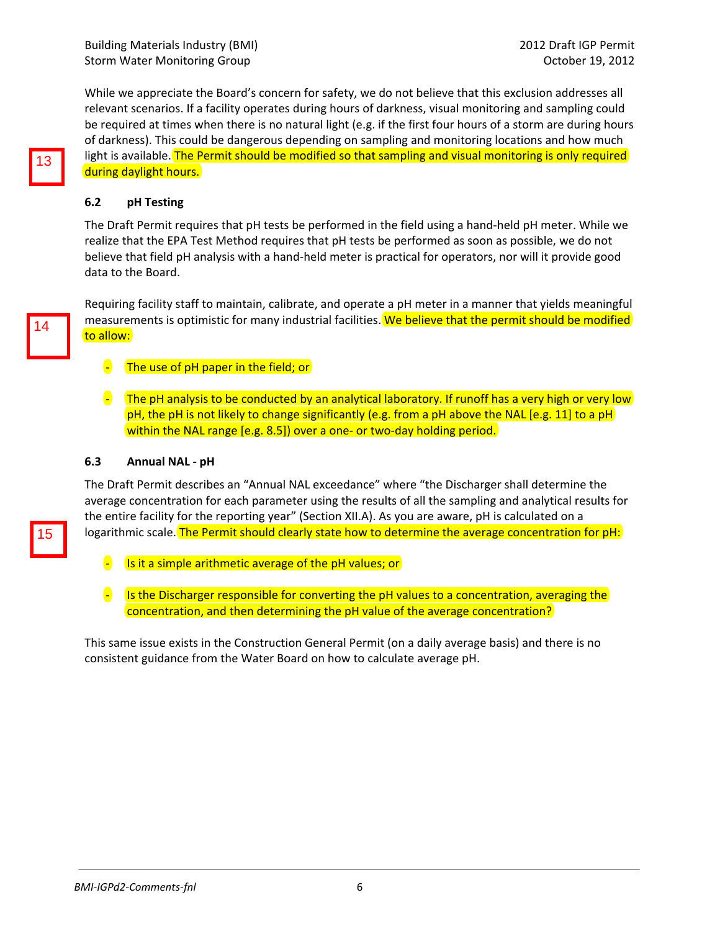While we appreciate the Board's concern for safety, we do not believe that this exclusion addresses all relevant scenarios. If a facility operates during hours of darkness, visual monitoring and sampling could be required at times when there is no natural light (e.g. if the first four hours of a storm are during hours of darkness). This could be dangerous depending on sampling and monitoring locations and how much light is available. The Permit should be modified so that sampling and visual monitoring is only required during daylight hours.

## **6.2 pH Testing**

The Draft Permit requires that pH tests be performed in the field using a hand‐held pH meter. While we realize that the EPA Test Method requires that pH tests be performed as soon as possible, we do not believe that field pH analysis with a hand‐held meter is practical for operators, nor will it provide good data to the Board.

Requiring facility staff to maintain, calibrate, and operate a pH meter in a manner that yields meaningful measurements is optimistic for many industrial facilities. We believe that the permit should be modified to allow:

- $\overline{\phantom{a}}$  The use of pH paper in the field; or
- $\blacksquare$  The pH analysis to be conducted by an analytical laboratory. If runoff has a very high or very low pH, the pH is not likely to change significantly (e.g. from a pH above the NAL [e.g. 11] to a pH within the NAL range [e.g. 8.5]) over a one- or two-day holding period.

#### **6.3 Annual NAL ‐ pH**

The Draft Permit describes an "Annual NAL exceedance" where "the Discharger shall determine the average concentration for each parameter using the results of all the sampling and analytical results for the entire facility for the reporting year" (Section XII.A). As you are aware, pH is calculated on a logarithmic scale. The Permit should clearly state how to determine the average concentration for pH:

- **E** Is it a simple arithmetic average of the pH values; or
- **E** Is the Discharger responsible for converting the pH values to a concentration, averaging the concentration, and then determining the pH value of the average concentration?

This same issue exists in the Construction General Permit (on a daily average basis) and there is no consistent guidance from the Water Board on how to calculate average pH.

14<br>15